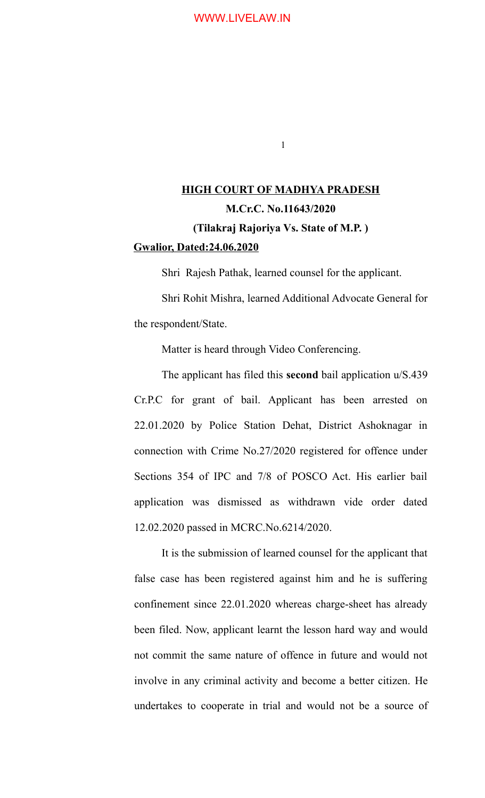1

# **HIGH COURT OF MADHYA PRADESH M.Cr.C. No.11643/2020 (Tilakraj Rajoriya Vs. State of M.P. ) Gwalior, Dated:24.06.2020**

Shri Rajesh Pathak, learned counsel for the applicant.

Shri Rohit Mishra, learned Additional Advocate General for the respondent/State.

Matter is heard through Video Conferencing.

The applicant has filed this **second** bail application u/S.439 Cr.P.C for grant of bail. Applicant has been arrested on 22.01.2020 by Police Station Dehat, District Ashoknagar in connection with Crime No.27/2020 registered for offence under Sections 354 of IPC and 7/8 of POSCO Act. His earlier bail application was dismissed as withdrawn vide order dated 12.02.2020 passed in MCRC.No.6214/2020.

It is the submission of learned counsel for the applicant that false case has been registered against him and he is suffering confinement since 22.01.2020 whereas charge-sheet has already been filed. Now, applicant learnt the lesson hard way and would not commit the same nature of offence in future and would not involve in any criminal activity and become a better citizen. He undertakes to cooperate in trial and would not be a source of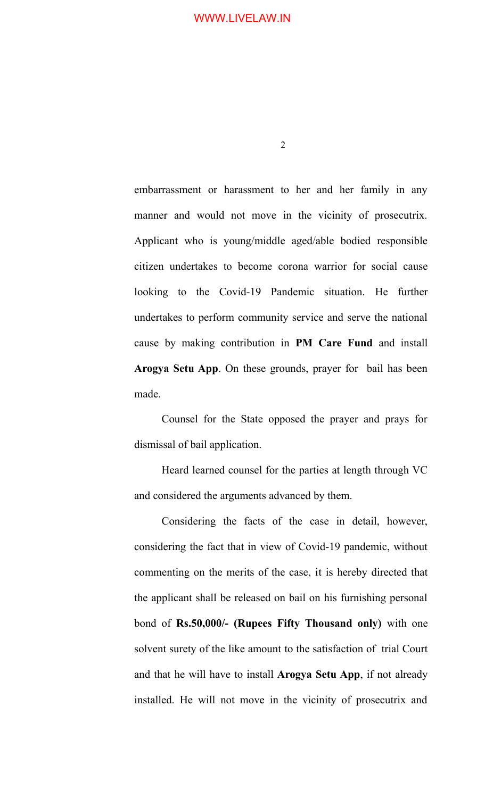2

embarrassment or harassment to her and her family in any manner and would not move in the vicinity of prosecutrix. Applicant who is young/middle aged/able bodied responsible citizen undertakes to become corona warrior for social cause looking to the Covid-19 Pandemic situation. He further undertakes to perform community service and serve the national cause by making contribution in **PM Care Fund** and install **Arogya Setu App**. On these grounds, prayer for bail has been made.

Counsel for the State opposed the prayer and prays for dismissal of bail application.

Heard learned counsel for the parties at length through VC and considered the arguments advanced by them.

Considering the facts of the case in detail, however, considering the fact that in view of Covid-19 pandemic, without commenting on the merits of the case, it is hereby directed that the applicant shall be released on bail on his furnishing personal bond of **Rs.50,000/- (Rupees Fifty Thousand only)** with one solvent surety of the like amount to the satisfaction of trial Court and that he will have to install **Arogya Setu App**, if not already installed. He will not move in the vicinity of prosecutrix and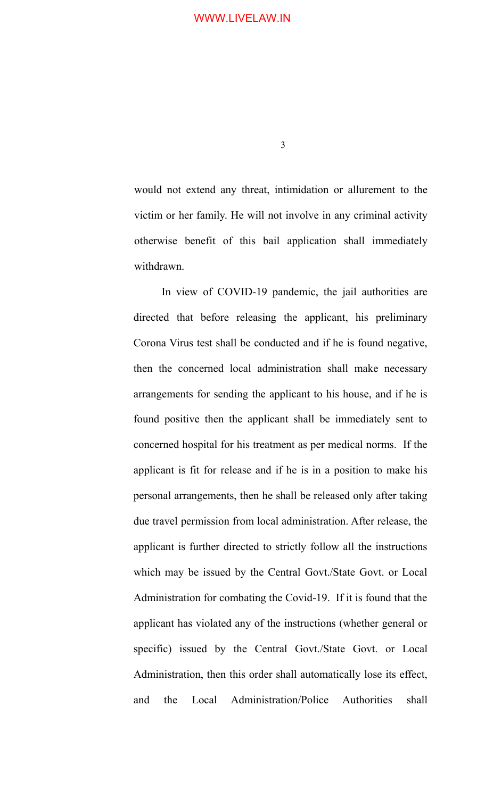3

would not extend any threat, intimidation or allurement to the victim or her family. He will not involve in any criminal activity otherwise benefit of this bail application shall immediately withdrawn.

In view of COVID-19 pandemic, the jail authorities are directed that before releasing the applicant, his preliminary Corona Virus test shall be conducted and if he is found negative, then the concerned local administration shall make necessary arrangements for sending the applicant to his house, and if he is found positive then the applicant shall be immediately sent to concerned hospital for his treatment as per medical norms. If the applicant is fit for release and if he is in a position to make his personal arrangements, then he shall be released only after taking due travel permission from local administration. After release, the applicant is further directed to strictly follow all the instructions which may be issued by the Central Govt./State Govt. or Local Administration for combating the Covid-19. If it is found that the applicant has violated any of the instructions (whether general or specific) issued by the Central Govt./State Govt. or Local Administration, then this order shall automatically lose its effect, and the Local Administration/Police Authorities shall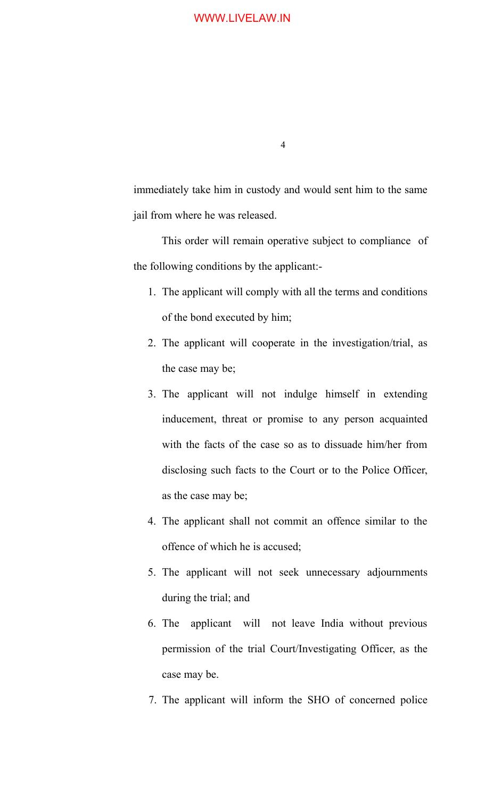4

immediately take him in custody and would sent him to the same jail from where he was released.

This order will remain operative subject to compliance of the following conditions by the applicant:-

- 1. The applicant will comply with all the terms and conditions of the bond executed by him;
- 2. The applicant will cooperate in the investigation/trial, as the case may be;
- 3. The applicant will not indulge himself in extending inducement, threat or promise to any person acquainted with the facts of the case so as to dissuade him/her from disclosing such facts to the Court or to the Police Officer, as the case may be;
- 4. The applicant shall not commit an offence similar to the offence of which he is accused;
- 5. The applicant will not seek unnecessary adjournments during the trial; and
- 6. The applicant will not leave India without previous permission of the trial Court/Investigating Officer, as the case may be.
- 7. The applicant will inform the SHO of concerned police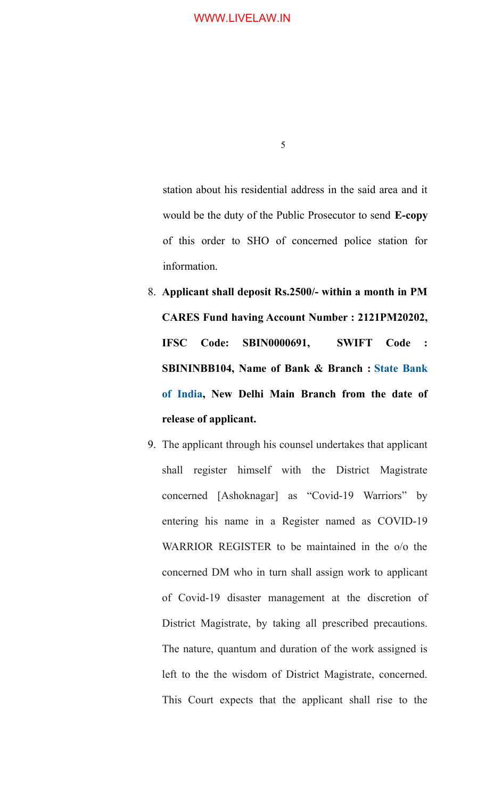station about his residential address in the said area and it would be the duty of the Public Prosecutor to send **E-copy** of this order to SHO of concerned police station for information.

- 8. **Applicant shall deposit Rs.2500/- within a month in PM CARES Fund having Account Number : 2121PM20202, IFSC Code: SBIN0000691, SWIFT Code : SBININBB104, Name of Bank & Branch : [State Bank](http://www.financialexpress.com/market/stock-market/state-bank-of-india-stock-price/) [of India,](http://www.financialexpress.com/market/stock-market/state-bank-of-india-stock-price/) New Delhi Main Branch from the date of release of applicant.**
- 9. The applicant through his counsel undertakes that applicant shall register himself with the District Magistrate concerned [Ashoknagar] as "Covid-19 Warriors" by entering his name in a Register named as COVID-19 WARRIOR REGISTER to be maintained in the o/o the concerned DM who in turn shall assign work to applicant of Covid-19 disaster management at the discretion of District Magistrate, by taking all prescribed precautions. The nature, quantum and duration of the work assigned is left to the the wisdom of District Magistrate, concerned. This Court expects that the applicant shall rise to the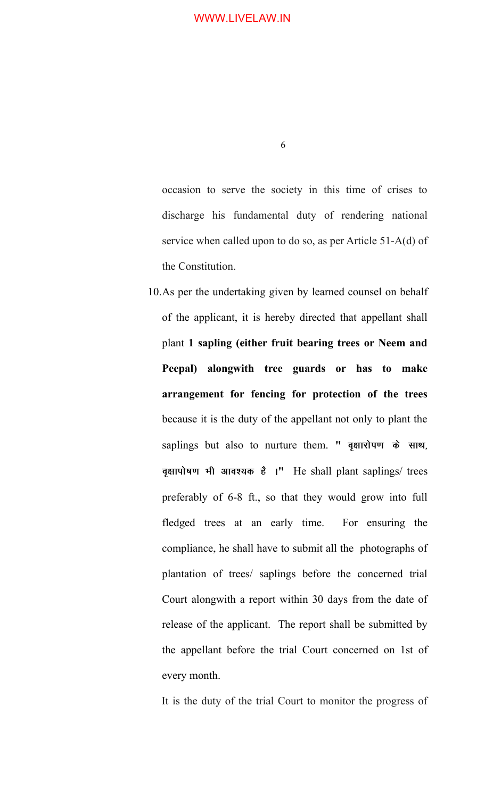occasion to serve the society in this time of crises to discharge his fundamental duty of rendering national service when called upon to do so, as per Article 51-A(d) of the Constitution.

10.As per the undertaking given by learned counsel on behalf of the applicant, it is hereby directed that appellant shall plant **1 sapling (either fruit bearing trees or Neem and Peepal) alongwith tree guards or has to make arrangement for fencing for protection of the trees** because it is the duty of the appellant not only to plant the saplings but also to nurture them. " वृक्षारोपण के साथ, **o`{kkiks"k.k Hkh vko';d gS A"** He shall plant saplings/ trees preferably of 6-8 ft., so that they would grow into full fledged trees at an early time. For ensuring the compliance, he shall have to submit all the photographs of plantation of trees/ saplings before the concerned trial Court alongwith a report within 30 days from the date of release of the applicant. The report shall be submitted by the appellant before the trial Court concerned on 1st of every month.

It is the duty of the trial Court to monitor the progress of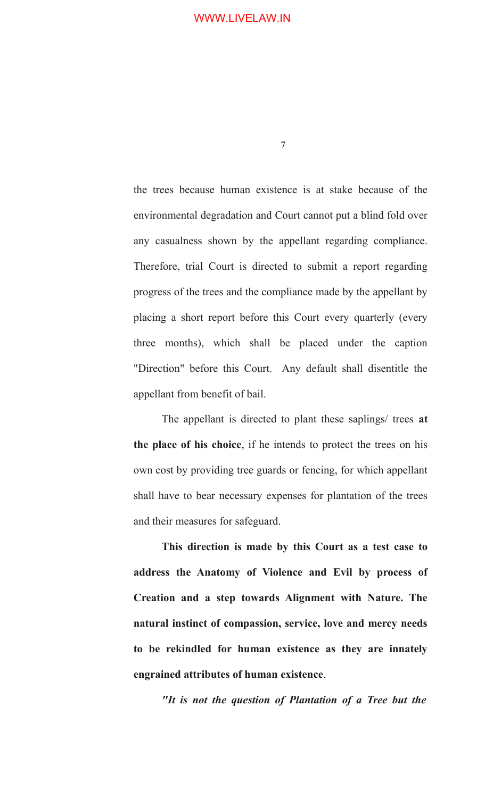7

the trees because human existence is at stake because of the environmental degradation and Court cannot put a blind fold over any casualness shown by the appellant regarding compliance. Therefore, trial Court is directed to submit a report regarding progress of the trees and the compliance made by the appellant by placing a short report before this Court every quarterly (every three months), which shall be placed under the caption "Direction" before this Court. Any default shall disentitle the appellant from benefit of bail.

The appellant is directed to plant these saplings/ trees **at the place of his choice**, if he intends to protect the trees on his own cost by providing tree guards or fencing, for which appellant shall have to bear necessary expenses for plantation of the trees and their measures for safeguard.

**This direction is made by this Court as a test case to address the Anatomy of Violence and Evil by process of Creation and a step towards Alignment with Nature. The natural instinct of compassion, service, love and mercy needs to be rekindled for human existence as they are innately engrained attributes of human existence**.

*"It is not the question of Plantation of a Tree but the*